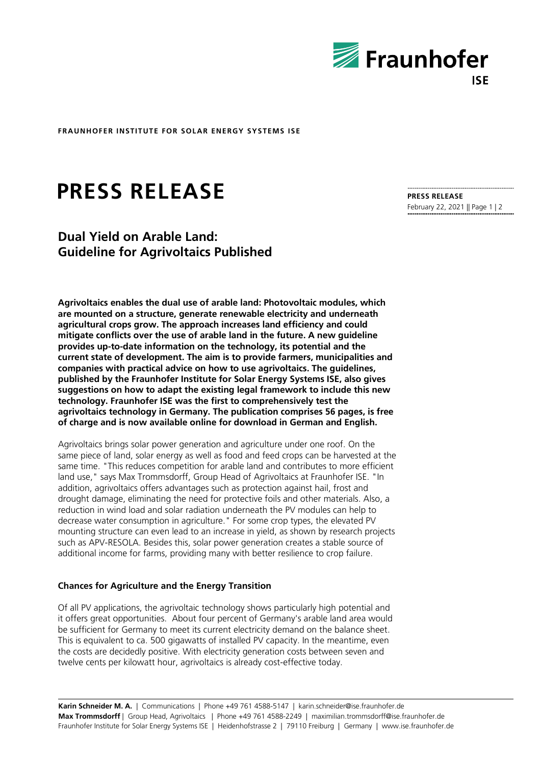

**FRAUNHOFER INSTITUTE FOR SOLAR ENERGY SYSTEMS ISE**

# **PRESS RELEASE**

## **Dual Yield on Arable Land: Guideline for Agrivoltaics Published**

**Agrivoltaics enables the dual use of arable land: Photovoltaic modules, which are mounted on a structure, generate renewable electricity and underneath agricultural crops grow. The approach increases land efficiency and could mitigate conflicts over the use of arable land in the future. A new guideline provides up-to-date information on the technology, its potential and the current state of development. The aim is to provide farmers, municipalities and companies with practical advice on how to use agrivoltaics. The guidelines, published by the Fraunhofer Institute for Solar Energy Systems ISE, also gives suggestions on how to adapt the existing legal framework to include this new technology. Fraunhofer ISE was the first to comprehensively test the agrivoltaics technology in Germany. The publication comprises 56 pages, is free of charge and is now available online for download in German and English.**

Agrivoltaics brings solar power generation and agriculture under one roof. On the same piece of land, solar energy as well as food and feed crops can be harvested at the same time. "This reduces competition for arable land and contributes to more efficient land use," says Max Trommsdorff, Group Head of Agrivoltaics at Fraunhofer ISE. "In addition, agrivoltaics offers advantages such as protection against hail, frost and drought damage, eliminating the need for protective foils and other materials. Also, a reduction in wind load and solar radiation underneath the PV modules can help to decrease water consumption in agriculture." For some crop types, the elevated PV mounting structure can even lead to an increase in yield, as shown by research projects such as APV-RESOLA. Besides this, solar power generation creates a stable source of additional income for farms, providing many with better resilience to crop failure.

## **Chances for Agriculture and the Energy Transition**

Of all PV applications, the agrivoltaic technology shows particularly high potential and it offers great opportunities. About four percent of Germany's arable land area would be sufficient for Germany to meet its current electricity demand on the balance sheet. This is equivalent to ca. 500 gigawatts of installed PV capacity. In the meantime, even the costs are decidedly positive. With electricity generation costs between seven and twelve cents per kilowatt hour, agrivoltaics is already cost-effective today.

## **PRESS RELEASE**

February 22, 2021 || Page 1 | 2